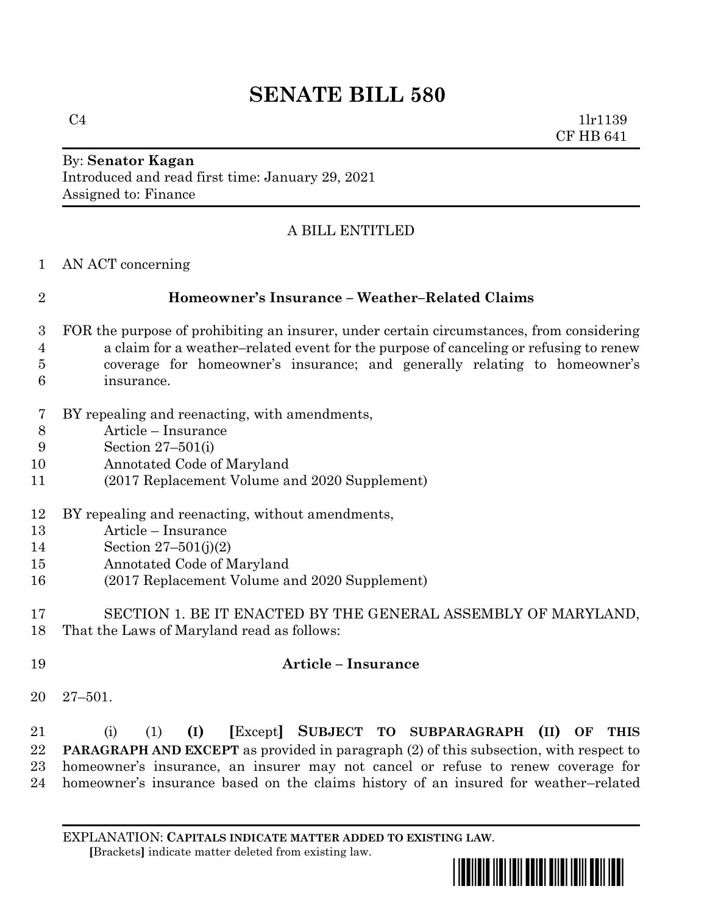# **SENATE BILL 580**

 $C4$  1lr1139 CF HB 641

#### By: **Senator Kagan** Introduced and read first time: January 29, 2021 Assigned to: Finance

## A BILL ENTITLED

AN ACT concerning

### **Homeowner's Insurance – Weather–Related Claims**

- FOR the purpose of prohibiting an insurer, under certain circumstances, from considering a claim for a weather–related event for the purpose of canceling or refusing to renew coverage for homeowner's insurance; and generally relating to homeowner's insurance.
- BY repealing and reenacting, with amendments,
- Article Insurance
- Section 27–501(i)
- Annotated Code of Maryland
- (2017 Replacement Volume and 2020 Supplement)
- BY repealing and reenacting, without amendments,
- Article Insurance
- Section 27–501(j)(2)
- Annotated Code of Maryland
- (2017 Replacement Volume and 2020 Supplement)
- SECTION 1. BE IT ENACTED BY THE GENERAL ASSEMBLY OF MARYLAND, That the Laws of Maryland read as follows:
- **Article – Insurance**
- 27–501.

 (i) (1) **(I) [**Except**] SUBJECT TO SUBPARAGRAPH (II) OF THIS PARAGRAPH AND EXCEPT** as provided in paragraph (2) of this subsection, with respect to homeowner's insurance, an insurer may not cancel or refuse to renew coverage for homeowner's insurance based on the claims history of an insured for weather–related

EXPLANATION: **CAPITALS INDICATE MATTER ADDED TO EXISTING LAW**.  **[**Brackets**]** indicate matter deleted from existing law.